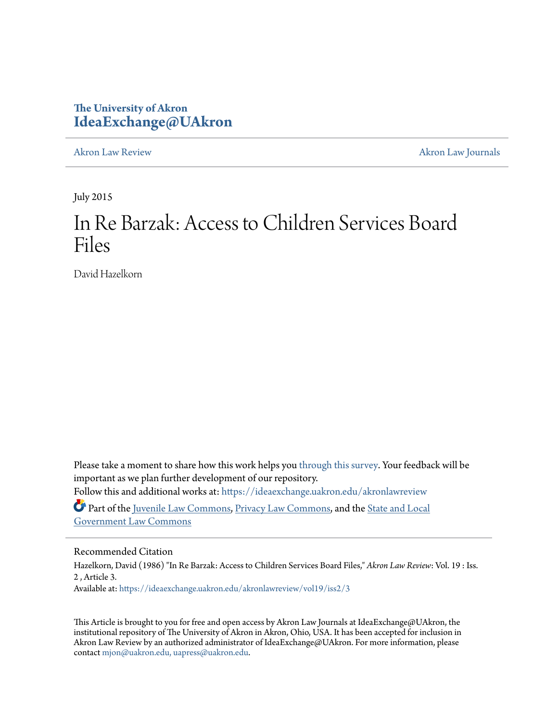# **The University of Akron [IdeaExchange@UAkron](https://ideaexchange.uakron.edu?utm_source=ideaexchange.uakron.edu%2Fakronlawreview%2Fvol19%2Fiss2%2F3&utm_medium=PDF&utm_campaign=PDFCoverPages)**

[Akron Law Review](https://ideaexchange.uakron.edu/akronlawreview?utm_source=ideaexchange.uakron.edu%2Fakronlawreview%2Fvol19%2Fiss2%2F3&utm_medium=PDF&utm_campaign=PDFCoverPages) [Akron Law Journals](https://ideaexchange.uakron.edu/akronlawjournals?utm_source=ideaexchange.uakron.edu%2Fakronlawreview%2Fvol19%2Fiss2%2F3&utm_medium=PDF&utm_campaign=PDFCoverPages)

July 2015

# In Re Barzak: Access to Children Services Board Files

David Hazelkorn

Please take a moment to share how this work helps you [through this survey.](http://survey.az1.qualtrics.com/SE/?SID=SV_eEVH54oiCbOw05f&URL=https://ideaexchange.uakron.edu/akronlawreview/vol19/iss2/3) Your feedback will be important as we plan further development of our repository. Follow this and additional works at: [https://ideaexchange.uakron.edu/akronlawreview](https://ideaexchange.uakron.edu/akronlawreview?utm_source=ideaexchange.uakron.edu%2Fakronlawreview%2Fvol19%2Fiss2%2F3&utm_medium=PDF&utm_campaign=PDFCoverPages)

Part of the [Juvenile Law Commons](http://network.bepress.com/hgg/discipline/851?utm_source=ideaexchange.uakron.edu%2Fakronlawreview%2Fvol19%2Fiss2%2F3&utm_medium=PDF&utm_campaign=PDFCoverPages), [Privacy Law Commons,](http://network.bepress.com/hgg/discipline/1234?utm_source=ideaexchange.uakron.edu%2Fakronlawreview%2Fvol19%2Fiss2%2F3&utm_medium=PDF&utm_campaign=PDFCoverPages) and the [State and Local](http://network.bepress.com/hgg/discipline/879?utm_source=ideaexchange.uakron.edu%2Fakronlawreview%2Fvol19%2Fiss2%2F3&utm_medium=PDF&utm_campaign=PDFCoverPages) [Government Law Commons](http://network.bepress.com/hgg/discipline/879?utm_source=ideaexchange.uakron.edu%2Fakronlawreview%2Fvol19%2Fiss2%2F3&utm_medium=PDF&utm_campaign=PDFCoverPages)

# Recommended Citation

Hazelkorn, David (1986) "In Re Barzak: Access to Children Services Board Files," *Akron Law Review*: Vol. 19 : Iss. 2 , Article 3. Available at: [https://ideaexchange.uakron.edu/akronlawreview/vol19/iss2/3](https://ideaexchange.uakron.edu/akronlawreview/vol19/iss2/3?utm_source=ideaexchange.uakron.edu%2Fakronlawreview%2Fvol19%2Fiss2%2F3&utm_medium=PDF&utm_campaign=PDFCoverPages)

This Article is brought to you for free and open access by Akron Law Journals at IdeaExchange@UAkron, the institutional repository of The University of Akron in Akron, Ohio, USA. It has been accepted for inclusion in Akron Law Review by an authorized administrator of IdeaExchange@UAkron. For more information, please contact [mjon@uakron.edu, uapress@uakron.edu.](mailto:mjon@uakron.edu,%20uapress@uakron.edu)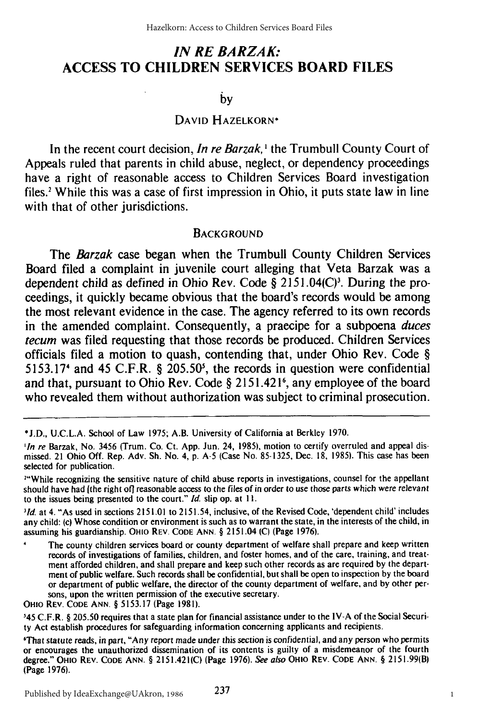# *IN RE BARZAK:* **ACCESS TO CHILDREN SERVICES BOARD FILES**

by

## **DAVID** HAZELKORN\*

In the recent court decision, *In re Barzak*,<sup>1</sup> the Trumbull County Court of Appeals ruled that parents in child abuse, neglect, or dependency proceedings have a right of reasonable access to Children Services Board investigation files.' While this was a case of first impression in Ohio, it puts state law in line with that of other jurisdictions.

#### **BACKGROUND**

The *Barzak* case began when the Trumbull County Children Services Board filed a complaint in juvenile court alleging that Veta Barzak was a dependent child as defined in Ohio Rev. Code § 2151.04(C)<sup>3</sup>. During the proceedings, it quickly became obvious that the board's records would be among the most relevant evidence in the case. The agency referred to its own records in the amended complaint. Consequently, a praecipe for a subpoena duces *tecum* was filed requesting that those records be produced. Children Services officials filed a motion to quash, contending that, under Ohio Rev. Code **§** 5153.17<sup>4</sup> and 45 C.F.R. § 205.50<sup>5</sup>, the records in question were confidential and that, pursuant to Ohio Rev. Code **§** 2151.4216, any employee of the board who revealed them without authorization was subject to criminal prosecution.

*1id.* at 4. "As used in sections **215** 1.01 to 2151.54, inclusive, of the Revised Code, 'dependent child' includes any child: (c) Whose condition or environment is such as to warrant the state, in the interests of the child, in assuming his guardianship. OHio REV. CODE ANN. § 2151.04 **(C)** (Page 1976).

The county children services board or county department of welfare shall prepare and keep written records of investigations of families, children, and foster homes, and of the care, training, and treatment afforded children, and shall prepare and keep such other records as are required by the department of public welfare. Such records shall be confidential, but shall be open to inspection by the board or department of public welfare, the director of the county department of welfare, and by other persons, upon the written permission of the executive secretary.

OHIO REV. **CODE ANN.** § 5153.17 (Page 1981).

345 C.F.R. § 205.50 requires that a state plan for financial assistance under to the IV-A of the Social Security Act establish procedures for safeguarding information concerning applicants and recipients.

'That statute reads, in part, **"Any** report made under this section is confidential, and any person who permits or encourages the unauthorized dissemination of its contents is guilty of a misdemeanor of the fourth degree." OHIo REV. CODE ANN. § 2151.421(C) (Page **1976).** *See also* OHIO REV. CODE ANN. § 2151.99(B) (Page **1976).**

**<sup>\*</sup>J.D., U.C.L.A.** School of Law **1975;** A.B. University of California at Berkley **1970.**

*<sup>&#</sup>x27;In re* Barzak, No. **3456** (Trum. Co. Ct. **App.** Jun. 24, **1985),** motion to certify overruled and appeal dismissed. 21 Ohio Off. Rep. Adv. Sh. No. 4, **p. A-5** (Case No. **85-1325,** Dec. 18, 1985). This case has been selected for publication.

<sup>&</sup>lt;sup>24</sup>While recognizing the sensitive nature of child abuse reports in investigations, counsel for the appellant should have had (the right of] reasonable access to the files of in order to use those parts which were relevant to the issues being presented to the court." *Id.* slip op. at **11.**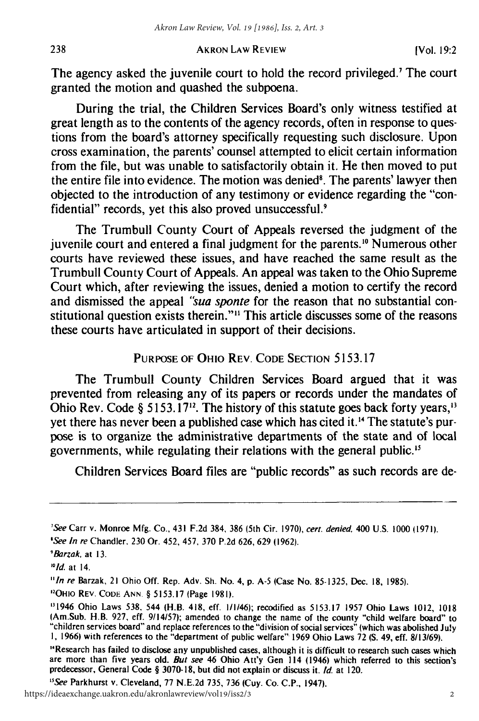The agency asked the juvenile court to hold the record privileged.' The court granted the motion and quashed the subpoena.

During the trial, the Children Services Board's only witness testified at great length as to the contents of the agency records, often in response to questions from the board's attorney specifically requesting such disclosure. Upon cross examination, the parents' counsel attempted to elicit certain information from the file, but was unable to satisfactorily obtain it. He then moved to put the entire file into evidence. The motion was denied'. The parents' lawyer then objected to the introduction of any testimony or evidence regarding the "confidential" records, yet this also proved unsuccessful.<sup>9</sup>

The Trumbull County Court of Appeals reversed the judgment of the juvenile court and entered a final judgment for the parents.'0 Numerous other courts have reviewed these issues, and have reached the same result as the Trumbull County Court of Appeals. An appeal was taken to the Ohio Supreme Court which, after reviewing the issues, denied a motion to certify the record and dismissed the appeal *"sua sponte* for the reason that no substantial constitutional question exists therein."" This article discusses some of the reasons these courts have articulated in support of their decisions.

## **PURPOSE** OF OHIO REV. CODE **SECTION** 5153.17

The Trumbull County Children Services Board argued that it was prevented from releasing any of its papers or records under the mandates of Ohio Rev. Code § 5153.17<sup>12</sup>. The history of this statute goes back forty years,<sup>13</sup> yet there has never been a published case which has cited it."' The statute's purpose is to organize the administrative departments of the state and of local governments, while regulating their relations with the general public."

Children Services Board files are "public records" as such records are de-

"Offo REV. CODE ANN **§** 5153.17 (Page 1981).

<sup>15</sup> See Parkhurst v. Cleveland, 77 N.E.2d 735, 736 (Cuy. Co. C.P., 1947).

238

<sup>&#</sup>x27;See Carr v. Monroe Mfg. Co., 431 F.2d 384, 386 (5th Cir. 1970), cert. denied, 400 U.S. 1000 (1971).

*<sup>&#</sup>x27;See* In re Chandler. 230 Or. 452, 457, 370 P.2d 626, 629 (1962).

*<sup>9</sup>* Barzak. at 13.

*<sup>&</sup>quot;I1d.* at 14.

<sup>&</sup>quot;In re Barzak, 21 Ohio Off. Rep. Adv. **Sh.** No. 4, **p. A-5** (Case No. 85-1325, Dec. 18, 1985).

<sup>&</sup>quot;1946 Ohio Laws 538. 544 (H.B. 418, eff. 1/1/46); recodified as 5153.17 1957 Ohio Laws 1012, 1018 (Am.Sub. H.B. 927, eff. 9/14/57); amended to change the name of the county "child welfare board" to "children services board" and replace references to the "division of social services" (which was abolished July **I,** 1966) with references to the "department of public welfare" 1969 Ohio Laws 72 **(S.** 49, eff. 8/13/69).

<sup>&</sup>quot;Research has failed to disclose any unpublished cases, although it is difficult to research such cases which are more than five years old. But see 46 Ohio Att'y Gen 114 (1946) which referred to this section's predecessor, General Code **§** 3070-18, but did not explain or discuss it. Id. at 120.

https://ideaexchange.uakron.edu/akronlawreview/vol19/iss2/3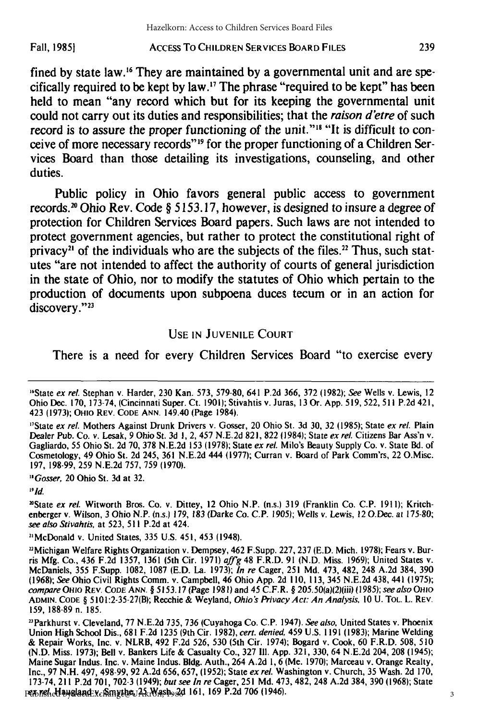#### AccEss To CHILDREN SERVICES BOARD **FILES Fall, 19851**

fined by state law.<sup>16</sup> They are maintained by a governmental unit and are specifically required to be kept **by** law. 7 The phrase "required to be kept" has been held to mean "any record which but for its keeping the governmental unit could not carry out its duties and responsibilities; that the *raison d'etre* of such record is to assure the proper functioning of the unit."<sup>18</sup> "It is difficult to conceive of more necessary records"<sup>19</sup> for the proper functioning of a Children Services Board than those detailing its investigations, counseling, and other duties.

Public policy in Ohio favors general public access to government records.2 " Ohio Rev. Code **§ 5153.17,** however, is designed to insure a degree of protection for Children Services Board papers. Such laws are not intended to protect government agencies, but rather to protect the constitutional right of privacy<sup>21</sup> of the individuals who are the subjects of the files.<sup>22</sup> Thus, such statutes "are not intended to affect the authority of courts of general jurisdiction in the state of Ohio, nor to modify the statutes of Ohio which pertain to the production of documents upon subpoena duces tecum or in an action for discovery."<sup>23</sup>

## USE **IN JUVENILE COURT**

There is a need for every Children Services Board "to exercise every

<sup>17</sup>State ex rel. Mothers Against Drunk Drivers v. Gosser, 20 Ohio St. 3d 30, 32 (1985); State ex rel. Plain Dealer Pub. Co. v. Lesak, 9 Ohio St. 3d **1,** 2, 457 N.E.2d 821, 822 (1984); State ex rel. Citizens Bar Ass'n v. Gagliardo, 55 Ohio St. 2d 70, 378 N.E.2d 153 (1978); State ex rel. Milo's Beauty Supply Co. v. State Bd. of Cosmetology, 49 Ohio St. 2d 245, 361 N.E.2d 444 (1977); Curran v. Board of Park Comm'rs, 22 O.Misc. **197,** 198-99, **259** N.E.2d **757, 759 (1970).**

<sup>18</sup> Gosser, 20 Ohio St. 3d at 32.

 $19/d$ .

"State ex rel. Witworth Bros. Co. v. Dittey, 12 Ohio N.P. (n.s.) 319 (Franklin Co. C.P. 1911); Kritchenberger v. Wilson, 3 Ohio N.P. (n.s.) 179, 183 (Darke Co. C.P. 1905); Wells v. Lewis, 12 O.Dec. at 175-80; see also Stivahtis, at 523, **511** P.2d at 424.

2"McDonald v. United States, 335 U.S. 451, 453 (1948).

2"Michigan Welfare Rights Organization v. Dempsey, 462 F.Supp. 227, 237 (E.D. Mich. 1978); Fears v. Burris Mfg. Co., 436 F.2d 1357, 1361 (5th Cir. 1971) aff'g 48 F.R.D. 91 (N.D. Miss. 1969); United States v. McDaniels, 355 F.Supp. 1082, 1087 (E.D. La. 1973); In re Cager, 251 Md. 473, 482, 248 A.2d 384, 390 (1968); See Ohio Civil Rights Comm. v. Campbell, 46 Ohio App. 2d 110, 113, 345 N.E.2d 438, 441 (1975); compare OHIO REV. **CODE** ANN. § 5153.17 (Page 1981) and 45 C.F.R. § 205.50(a)(2)(iii) (1985); see also *OHio* **ADMIN. CODE** § 5101:2-35-27(B); Recchie & Weyland, Ohio's Privacy Act: An Analysis, 10 U. TOL. L. REV. 159, 188-89 n. 185.

<sup>23</sup> Parkhurst v. Cleveland, 77 N.E.2d 735, 736 (Cuyahoga Co. C.P. 1947). See also, United States v. Phoenix Union High School Dis., 681 F.2d 1235 (9th Cir. 1982), cert. denied, 459 U.S. 1191 (1983); Marine Welding & Repair Works, Inc. v. NLRB, 492 F.2d 526, 530 (5th Cir. 1974); Bogard v. Cook, 60 F.R.D. 508, 510 (N.D. Miss. 1973); Bell v. Bankers Life & Casualty Co., 327 **111.** App. 321, 330, 64 N.E.2d 204, 208 (1945); Maine Sugar Indus. Inc. v. Maine Indus. Bldg. Auth., 264 A.2d **1,** 6 (Me. 1970); Marceau v. Orange Realty, Inc., 97 N.H. 497, 498-99, 92 A.2d 656, 657, (1952); State ex rel. Washington v. Church, 35 Wash. 2d 170, 173-74, 211 P.2d 701, 702-3 (1949); but *see In re* Cager, 251 Md. 473, 482, 248 A.2d 384, 390 (1968); State *ex* rel. Haugland v. Smythe, 25 Wash. 2d 161, 169 P.2d 706 (1946). Published by IdeaExchange@UAkron, 1986

<sup>&</sup>lt;sup>16</sup>State ex rel. Stephan v. Harder, 230 Kan. 573, 579-80, 641 P.2d 366, 372 (1982); See Wells v. Lewis, 12 Ohio Dec. 170, 173-74, (Cincinnati Super. Ct. 1901); Stivahtis v. Juras, 13 Or. App. 519, 522, 511 P.2d 421, 423 (1973); OHIo REV. **CODE ANN.** 149.40 (Page 1984).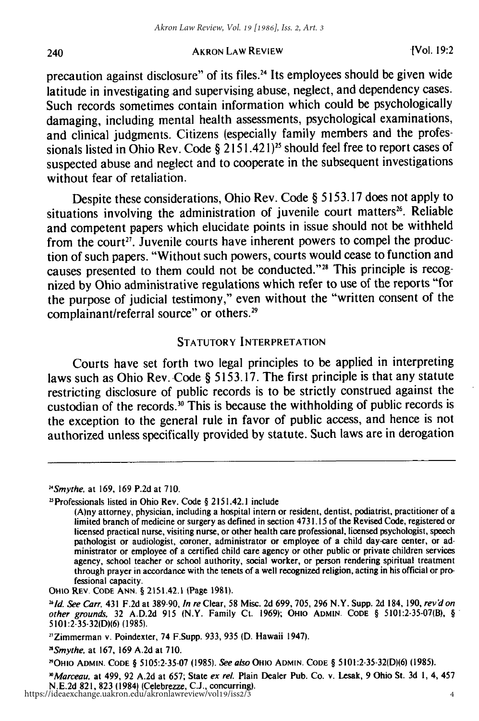precaution against disclosure" of its files.24 Its employees should be given wide latitude in investigating and supervising abuse, neglect, and dependency cases. Such records sometimes contain information which could be psychologically damaging, including mental health assessments, psychological examinations, and clinical judgments. Citizens (especially family members and the professionals listed in Ohio Rev. Code § 2151.421)<sup>25</sup> should feel free to report cases of suspected abuse and neglect and to cooperate in the subsequent investigations without fear of retaliation.

Despite these considerations, Ohio Rev. Code § 5153.17 does not apply to situations involving the administration of juvenile court matters<sup>26</sup>. Reliable and competent papers which elucidate points in issue should not be withheld from the court<sup>27</sup>. Juvenile courts have inherent powers to compel the production of such papers. "Without such powers, courts would cease to function and causes presented to them could not be conducted."28 This principle is recognized by Ohio administrative regulations which refer to use of the reports "for the purpose of judicial testimony," even without the "written consent of the complainant/referral source" or others.<sup>29</sup>

## STATUTORY INTERPRETATION

Courts have set forth two legal principles to be applied in interpreting laws such as Ohio Rev. Code § 5153.17. The first principle is that any statute restricting disclosure of public records is to be strictly construed against the custodian of the records.<sup>30</sup> This is because the withholding of public records is the exception to the general rule in favor of public access, and hence is not authorized unless specifically provided by statute. Such laws are in derogation

240

OHio **REV.** CODE **ANN.** § 2151.42.1 (Page 1981).

<sup>&</sup>lt;sup>24</sup> Smythe, at 169, 169 P.2d at 710.

<sup>&</sup>quot;Professionals listed in Ohio Rev. Code § 2151.42.1 include

<sup>(</sup>A)ny attorney, physician, including a hospital intern or resident, dentist, podiatrist, practitioner of a limited branch of medicine or surgery as defined in section 4731.15 of the Revised Code, registered or licensed practical nurse, visiting nurse, or other health care professional, licensed psychologist, speech pathologist or audiologist, coroner, administrator or employee of a child day-care center, or administrator or employee of a certified child care agency or other public or private children services agency, school teacher or school authority, social worker, or person rendering spiritual treatment through prayer in accordance with the tenets of a well recognized religion, acting in his official or professional capacity.

*<sup>11</sup>d.* See Carr, 431 F.2d at 389-90, In re Clear, **58** Misc. 2d 699, **705,** 296 N.Y. Supp. 2d 184, **190,** rev'don other grounds, 32 A.D.2d **915** (N.Y. Family Ct. 1969); **OHIo ADMIN. CODE** § 5101:2-35-07(B), § 5101:2-35-32(D)(6) (1985).

<sup>&</sup>quot;Zimmerman v. Poindexter, 74 F.Supp. 933, 935 **(D.** Hawaii 1947).

*nSmythe.* at 167, **169** A.2d at **710.**

<sup>&</sup>quot;'OHIO **ADMIN. CODE** § 5105:2-35-07 (1985). See also OHIO **ADMIN. CODE** § 5101:2-35-32(D)(6) (1985).

*<sup>&</sup>quot;Marceau.* at 499, 92 A.2d at 657; State ex rel. Plain Dealer Pub. Co. v. Lesak, 9 Ohio St. 3d **1,** 4, 457 N.E.2d 821, 823 (1984) (Celebrezze, C.J., concurring). https://ideaexchange.uakron.edu/akronlawreview/vol19/iss2/3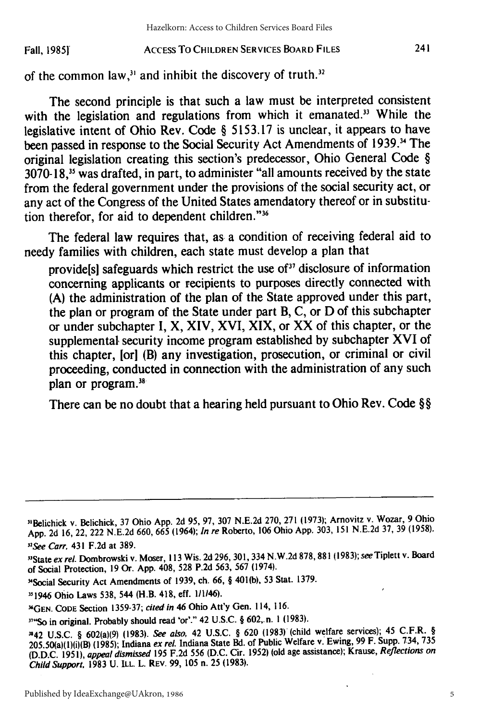#### ACCESS To CHILDREN SERVICES BOARD **FILES Fall, 1985f**

of the common law, $3<sup>1</sup>$  and inhibit the discovery of truth. $3<sup>2</sup>$ 

The second principle is that such a law must be interpreted consistent with the legislation and regulations from which it emanated.<sup>33</sup> While the legislative intent of Ohio Rev. Code § 5153.17 is unclear, it appears to have been passed in response to the Social Security Act Amendments of 1939.<sup>34</sup> The original legislation creating this section's predecessor, Ohio General Code §  $3070-18<sup>35</sup>$  was drafted, in part, to administer "all amounts received by the state from the federal government under the provisions of the social security act, or any act of the Congress of the United States amendatory thereof or in substitution therefor, for aid to dependent children."36

The federal law requires that, as a condition of receiving federal aid to needy families with children, each state must develop a plan that

provide[s] safeguards which restrict the use **of37** disclosure of information concerning applicants or recipients to purposes directly connected with **(A)** the administration of the plan of the State approved under this part, the plan or program of the State under part B, **C,** or **D** of this subchapter or under subchapter **I, X, XIV, XVI,** XIX, or XX of this chapter, or the supplemental, security income program established **by** subchapter XVI of this chapter, **[or]** (B) any investigation, prosecution, or criminal or civil proceeding, conducted in connection with the administration of any such plan or program.<sup>38</sup>

There can be no doubt that a hearing held pursuant to Ohio Rev. Code §§

<sup>&</sup>quot;1Belichick v. Belichick, **37** Ohio **App. 2d 95, 97, 307 N.E.2d 270, 271 (1973);** Arnovitz v. Wozar, **9** Ohio **App. 2d 16,** 22, 222 **N.E.2d 660, 665** (1964); In re Roberto, **106** Ohio **App. 303, 151 N.E.2d 37, 39 (1958).** "See Carr, 431 **F.2d** at **389.**

<sup>&</sup>quot;State *ex* rel. Dombrowski v. Moser, **113 Wis. 2d 296, 301,334 N.W.2d 878, 881 (1983);** seeTiplett v. Board of Social Protection, **19** Or. **App.** 408, **528 P.2d 563, 567** (1974).

<sup>-</sup>Social Security Act Amendments of **1939,** ch. **66,** § 401(b), **53** Stat. **1379.**

<sup>&</sup>quot;11946 Ohio Laws **538,** 544 (H.B. 418, eff. 111146).

**<sup>&</sup>quot;GEN. CODE** Section **1359-37;** cited in 46 Ohio Att'y Gen. **114, 116.**

<sup>&</sup>quot;"So in original. Probably should read 'or'." 42 **U.S.C.** § 602,.n. **I (1983).**

<sup>&</sup>quot;42 **U.S.C.** § 602(a)(9) **(1983).** See also, 42 **U.S.C.** § **620 (1983)** (child welfare services); 45 C.F.R. § 205.50(a)(1)(i)(B) **(1985);** Indiana **ex** rel. Indiana State Bd. of Public Welfare v. Ewing, **99** F. Supp. 734, **<sup>735</sup> (D.D.C. 1951),** appeal dismissed **195 F.2d 556 (D.C.** Cir. **1952)** (old age assistance); Krause, *Reflections on* Child Support, **1983 U.** ILL L. REV. **99, 105** n. **25 (1983).**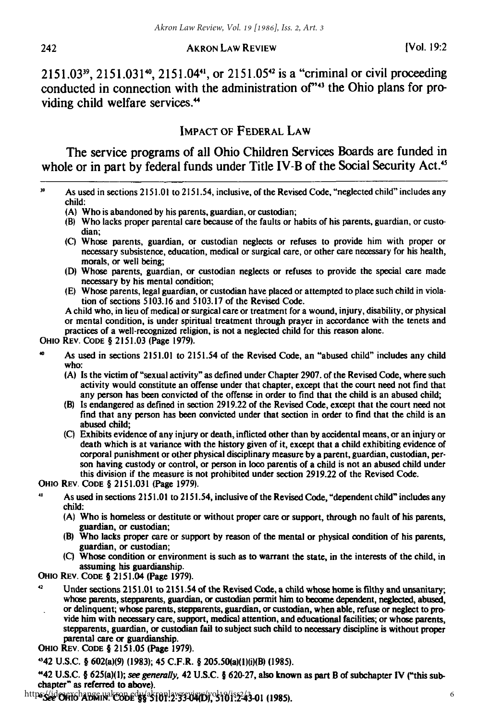2151.03<sup>39</sup>, 2151.031<sup>40</sup>, 2151.04<sup>41</sup>, or 2151.05<sup>42</sup> is a "criminal or civil proceeding conducted in connection with the administration of<sup>743</sup> the Ohio plans for providing child welfare services.<sup>44</sup>

# IMPACT OF FEDERAL LAW

The service programs of all Ohio Children Services Boards are funded in whole or in part by federal funds under Title IV-B of the Social Security Act.<sup>45</sup>

- **(A)** Who is abandoned **by** his parents, guardian, or custodian;
- **(B)** Who lacks proper parental care because of the faults or habits of his parents, guardian, or custodian;
- **(C)** Whose parents, guardian, or custodian neglects or refuses to provide him with proper or necessary subsistence, education, medical or surgical care, or other care necessary for his health, morals, or well being;
- **(D)** Whose parents, guardian, or custodian neglects or refuses to provide the special care made necessary **by** his mental condition;
- **(E)** Whose parents, legal guardian, or custodian have placed or attempted to place such child in violation of sections 5103.16 and 5103.17 of the Revised Code.

A child who, in lieu of medical or surgical care or treatment for a wound, injury, disability, or physical or mental condition, is under spiritual treatment through prayer in accordance with the tenets and practices of a well-recognized religion, is not a neglected child for this reason alone.

OHIO REV. CODE § 2151.03 (Page 1979).

- **<sup>40</sup>**As used in sections 2151.01 to 2151.54 of the Revised Code, an "abused child" includes any child who:
	- **(A)** Is the victim of "sexual activity" as defined under Chapter **2907.** of the Revised Code, where such activity would constitute an offense under that chapter, except that the court need not find that any person has been convicted of the offense in order to find that the child is an abused child;
	- (B) Is endangered as defined in section **2919.22** of the Revised Code, except that the court need not find that any person has been convicted under that section in order to find that the child is an abused child;
	- **(C)** Exhibits evidence of any injury or death, inflicted other than **by** accidental means, or an injury or death which is at variance with the history given of **it,** except that a child exhibiting evidence of corporal punishment or other physical disciplinary measure **by** a parent, guardian, custodian, person having custody or control, or person in loco parentis of a child is not an abused child under this division **if** the measure is not prohibited under section **2919.22** of the Revised Code.

**OHIO REV. CODE** § **2151.031** (Page **1979).**

- As used in sections 2151.01 to 2151.54, inclusive of the Revised Code, "dependent child" includes any **child:**
	- **(A)** Who is homeless or destitute or without proper **care** or support, through no fault of his parents, guardian, or custodian;
	- (B) Who lacks proper care or support **by** reason of the mental or physical condition of his parents, guardian, or custodian;
	- **(C)** Whose condition or environment is such as to warrant the state, in the interests of the child, in assuming his guardianship.

**OHio** REV. **CODE** § 2151.04 (Page **1979).**

<sup>42</sup>Under sections 2151.01 to 2151.54 of the Revised Code, a child whose home **is** filthy and unsanitary; whose parents, stepparents, guardian, or custodian permit him to become dependent, neglected, abused, or delinquent; whose parents, stepparents, guardian, or custodian, when able, refuse or neglect to provide him with necessary care, support, medical attention, and educational facilities; or whose parents, stepparents, guardian, or custodian fail to subject such child to necessary discipline is without proper parental care or guardianship.

**OHIO** REV. **CODE** § **2151.05** (Page **1979).**

142 **U.S.C.** § 602(a)(9) **(1983);** 45 C.F.R. § 205.50(a)(l)(i)(B) **(1985).**

"42 **U.S.C.** § 625(a)(1); **see generally, 42 U.S.C.** § **620-27, also known** as **part** B of subchapter **IV ("this** subchapter" as referred to above).

**See OHio ADMIN. CODE §§** 5101:2-3304(D), 5101:2-43-01 **(1985).** https://ideaexchange.uakron.edu/akronlawreview/vol19/iss2/3

**<sup>39</sup>**As used in sections **2151.01** to 2151.54, inclusive, of the **Revised Code,** "neglected child" includes any child: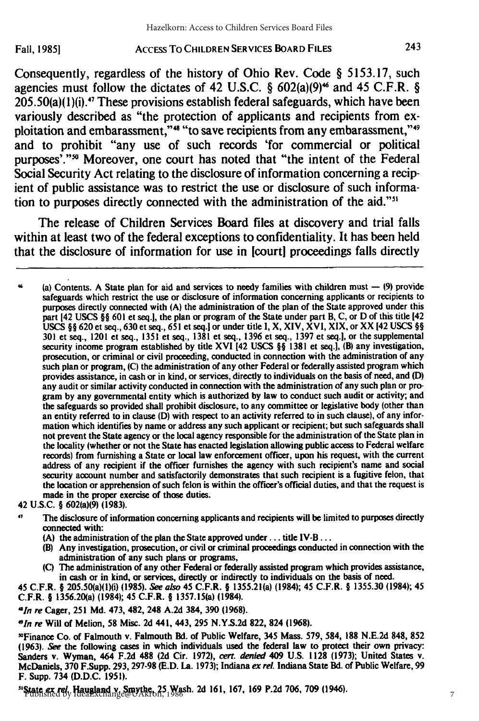Fall, **1985]**

Consequently, regardless of the history of Ohio Rev. Code § 5153.17, such agencies must follow the dictates of 42 U.S.C.  $\S$  602(a)(9)<sup>46</sup> and 45 C.F.R.  $\S$  $205.50(a)(1)(i).$ <sup>47</sup> These provisions establish federal safeguards, which have been variously described as "the protection of applicants and recipients from exploitation and embarassment," $\cdot$ " "to save recipients from any embarassment," $\cdot$ " and to prohibit "any use of such records 'for commercial or political purposes'."<sup>30</sup> Moreover, one court has noted that "the intent of the Federal Social Security Act relating to the disclosure of information concerning a recipient of public assistance was to restrict the use or disclosure of such information to purposes directly connected with the administration of the aid."'

The release of Children Services Board files at discovery and trial falls within at least two of the federal exceptions to confidentiality. It has been held that the disclosure of information for use in [court] proceedings falls directly

46 (a) Contents. A State plan for aid and services to needy families with children must **-** 19) provide safeguards which restrict the use or disclosure of information concerning applicants or recipients to purposes directly connected with (A) the administration of the plan of the State approved under this part 142 USCS **§§** 601 et seq.I, the plan or program of the State under part B, C, or D of this title 142 USCS §§ 620 et seq., 630 et seq., 651 et seq.l or under title I, X, XIV, XVI, XIX, or XX 142 USCS §§ 301 et seq., 1201 et seq., 1351 et seq., 1381 et seq., 1396 et seq., 1397 et seq.I, or the supplemental security income program established **by** title XVI [42 **USCS §§ 1381** et seq.], (B) any investigation, prosecution, or criminal or civil proceeding, conducted in connection with the administration of any such plan or program, **(C)** the administration of any other Federal or federally assisted program which provides assistance, in cash or in kind, or services, directly to individuals on the basis of need, and **(D)** any audit or similar activity conducted in connection with the administration of any such plan or program **by** any governmental entity which is authorized **by** law to conduct such audit or activity; and the safeguards so provided shall prohibit disclosure, to any committee or legislative body (other than an entity referred to in clause **(D)** with respect to an activity referred to in such clause), of any information which identifies **by** name or address any such applicant or recipient; but such safeguards shall not prevent the State agency or the local agency responsible for the administration of the State plan in the locality (whether or not the State has enacted legislation allowing public access to Federal welfare records) from furnishing a State or local law enforcement officer, upon his request, with the current address of any recipient if the officer furnishes the agency with such recipient's name and social security account number and satisfactorily demonstrates that such recipient is a fugitive felon, that the location or apprehension of such felon is within the officer's official duties, and that the request is made in the proper exercise of those duties.

42 U.S.C. § 602(a)(9) **(1983).**

<sup>47</sup> The disclosure of information concerning applicants and recipients will be limited to purposes directly connected with:

**(A)** the administration of the plan the State approved under.., title IV-B...

(B) Any investigation, prosecution, or civil or criminal proceedings conducted in connection with the administration of any such plans or programs,

**(C)** The administration of any other Federal or federally assisted program which provides assistance, in cash or in kind, or services, directly or indirectly to individuals on the basis of need.

45 C.F.R. § 205.50(a)(1)(i) **(1985).** *See also* 45 C.F.R. § 1355.21(a) (1984); 45 C.F.R. § **1355.30** (1984); 45 C.F.R. § 1356.20(a) (1984); 45 C.F.R. § 1357.15(a) (1984).

*41n re* Cager, **251 Md.** 473, 482, 248 **A.2d** 384, 390 **(1968).**

*,"In re* Will of Melion, **58** Misc. **2d** 441, 443, 295 **N.Y.S.2d** 822, 824 **(1968).**

"Finance Co. of Falmouth v. Falmouth Bd. of Public Welfare, 345 Mass. 579, 584, **188 N.E.2d** 848, **852 (1963).** *See* the following cases in which individuals used the federal law to protect their own privacy: Sanders v. Wyman, 464 **F.2d 488 (2d** Cir. **1972),** *cert. denied* 409 U.S. **1128 (1973);** United States v. McDaniels, **370** F.Supp. **293,** 297-98 **(E.D.** La. **1973);** Indiana *ex rel.* Indiana State Bd. of Public Welfare, 99 F. Supp. 734 **(D.D.C. 1951).**

"State *ex rel.* Haugland v. Smythe, 25 Wash. **2d 161, 167, 169** P.2d 706, **709** (1946). Published by IdeaExchange@UAkron, 1986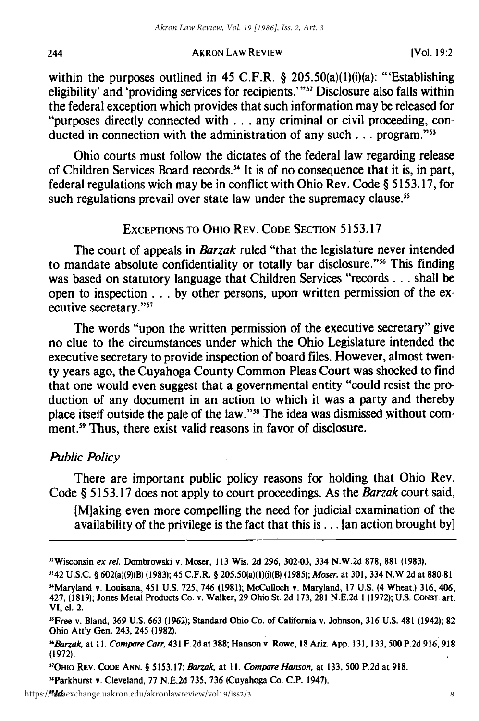within the purposes outlined in 45 C.F.R. § 205.50(a)(1)(i)(a): "Establishing eligibility' and 'providing services for recipients.'"<sup>52</sup> Disclosure also falls within the federal exception which provides that such information may be released for "purposes directly connected with **...** any criminal or civil proceeding, conducted in connection with the administration of any such **...** program."<sup>53</sup>

Ohio courts must follow the dictates of the federal law regarding release of Children Services Board records.<sup>54</sup> It is of no consequence that it is, in part, federal regulations wich may be in conflict with Ohio Rev. Code § 5153.17, for such regulations prevail over state law under the supremacy clause.<sup>5</sup>

# **EXCEPTIONS** TO OHIO REV. CODE SECTION 5153.17

The court of appeals in *Barzak* ruled "that the legislature never intended to mandate absolute confidentiality or totally bar disclosure."<sup>56</sup> This finding was based on statutory language that Children Services "records **...** shall be open to inspection... by other persons, upon written permission of the executive secretary."57

The words "upon the written permission of the executive secretary" give no clue to the circumstances under which the Ohio Legislature intended the executive secretary to provide inspection of board files. However, almost twenty years ago, the Cuyahoga County Common Pleas Court was shocked to find that one would even suggest that a governmental entity "could resist the production of any document in an action to which it was a party and thereby place itself outside the pale of the law."58 The idea was dismissed without comment.<sup>59</sup> Thus, there exist valid reasons in favor of disclosure.

# *Public Policy*

There are important public policy reasons for holding that Ohio Rev. Code § 5153.17 does not apply to court proceedings. As the *Barzak* court said,

[Mlaking even more compelling the need for judicial examination of the availability of the privilege is the fact that this is  $\dots$  [an action brought by]

1142 U.S.C. § 602(a)(9)(B) (1983); 45 C.F.R. § 205.50(a)(1)(i)(B) **(1985);** Moser, at 301, 334 N.W.2d at 880-81. -'Maryland v. Louisana, 451 U.S. 725, 746 **(1981);** McCulloch v. Maryland, 17 U.S. (4 Wheat.) 316, 406,

"OHio REv. CODE **ANN.** § 5153.17; *Barzak,* at *11. Compare Hanson,* at 133, **500** P.2d at 918.

"Parkhurst v. Cleveland, 77 N.E.2d 735, 736 (Cuyahoga Co. C.P. 1947).

<sup>&</sup>quot;Wisconsin ex rel. Dombrowski v. Moser, **113** Wis. 2d **296,** 302-03, 334 N.W.2d **878, 881 (1983).**

<sup>427, (1819);</sup> Jones Metal Products Co. v. Walker, 29 Ohio St. 2d 173, **281** N.E.2d 1 (1972); U.S. CoNsr. art. VI, cl. 2.

<sup>&</sup>quot;Free v. Bland, **369** U.S. 663 **(1962);** Standard Ohio Co. of California v. Johnson, **316** U.S. 481 (1942); **82** Ohio Att'y Gen. 243, 245 **(1982).**

*mBarzak,* at *11. Compare Carr,* 431 F.2d at **388;** Hanson v. Rowe, **18** Ariz. App. 131, 133, 500 P.2d 916,918 **(1972).**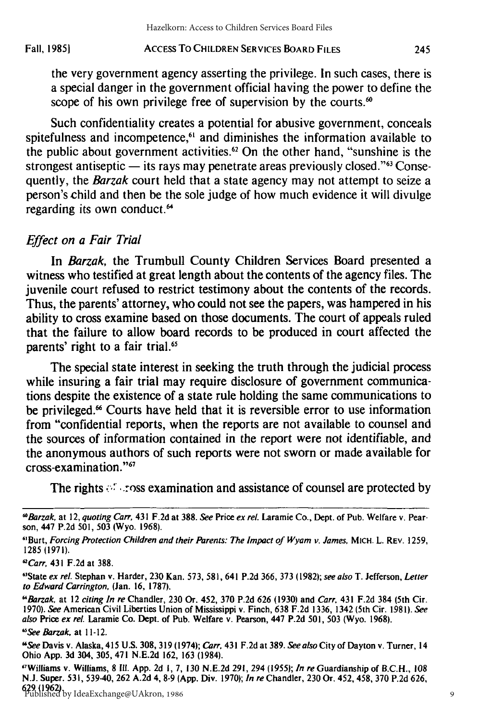Fall, **19851**

#### ACCESS To CHILDREN SERVICES BOARD FILES

245

the very government agency asserting the privilege. In such cases, there is a special danger in the government official having the power to define the scope of his own privilege free of supervision by the courts.<sup>60</sup>

Such confidentiality creates a potential for abusive government, conceals spitefulness and incompetence,<sup>61</sup> and diminishes the information available to the public about government activities.<sup>62</sup> On the other hand, "sunshine is the strongest antiseptic — its rays may penetrate areas previously closed.<sup>363</sup> Consequently, the *Barzak* court held that a state agency may not attempt to seize a person's child and then be the sole judge of how much evidence it will divulge regarding its own conduct.<sup>64</sup>

#### Effect on a *Fair Trial*

In *Barzak,* the Trumbull County Children Services Board presented a witness who testified at great length about the contents of the agency files. The juvenile court refused to restrict testimony about the contents of the records. Thus, the parents' attorney, who could not see the papers, was hampered in his ability to cross examine based on those documents. The court of appeals ruled that the failure to allow board records to be produced in court affected the parents' right to a fair trial.<sup>65</sup>

The special state interest in seeking the truth through the judicial process while insuring a fair trial may require disclosure of government communications despite the existence of a state rule holding the same communications to be privileged.<sup>66</sup> Courts have held that it is reversible error to use information from "confidential reports, when the reports are not available to counsel and the sources of information contained in the report were not identifiable, and the anonymous authors of such reports were not sworn or made available for cross-examination."<sup>67</sup>

The rights  $\mathcal{F}$  -ross examination and assistance of counsel are protected by

*"See Barzak,* at 11-12.

<sup>&</sup>lt;sup>60</sup> Barzak, at 12, quoting Carr, 431 F.2d at 388. See Price ex rel. Laramie Co., Dept. of Pub. Welfare v. Pearson, 447 P.2d 501, 503 (Wyo. 1968).

<sup>&</sup>lt;sup>61</sup>Burt, Forcing Protection Children and their Parents: The Impact of Wyam v. James, MICH. L. REV. 1259, 1285 (1971).

*<sup>&</sup>quot;Carr,* 431 F.2d at 388.

<sup>&</sup>lt;sup>61</sup>State ex rel. Stephan v. Harder, 230 Kan. 573, 581, 641 P.2d 366, 373 (1982); see also T. Jefferson, Letter to Edward Carrington, (Jan. 16, 1787).

<sup>&</sup>quot;Barzak, at 12 citing In re Chandler, 230 Or. 452, 370 P.2d 626 (1930) and Carr, 431 F.2d 384 (5th Cir. 1970). See American Civil Liberties Union of Mississippi v. Finch, 638 F.2d 1336, 1342 (5th Cir. 1981). See also Price ex rel. Laramie Co. Dept. of Pub. Welfare v. Pearson, 447 P.2d 501, 503 (Wyo. 1968).

<sup>&</sup>quot;See Davis v. Alaska, 415 U.S. 308, 319 (1974); Carr, 431 F.2d at 389. See also City of Dayton v. Turner, 14 Ohio App. **3d** 304, 305, 471 N.E.2d 162, **163** (1984).

<sup>7</sup> Williams v. Williams, **8 Ill.** App. 2d **1,** 7, **130** N.E.2d 291, 294 (1955); In re Guardianship of B.C.H., **108** N.J. Super. 531, 539-40, 262 A.2d 4, **8-9** (App. Div. 1970); In re Chandler, 230 Or. 452, 458, 370 P.2d 626, 629 (1962). Published by IdeaExchange@UAkron, 1986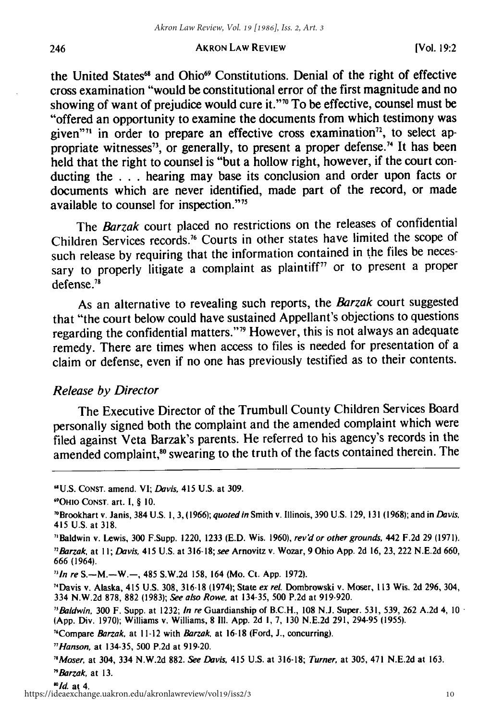the United States<sup>68</sup> and Ohio<sup>69</sup> Constitutions. Denial of the right of effective cross examination "would be constitutional error of the first magnitude and no showing of want of prejudice would cure it." $\sqrt{ }$  To be effective, counsel must be "offered an opportunity to examine the documents from which testimony was given"<sup>1</sup> in order to prepare an effective cross examination<sup> $72$ </sup>, to select appropriate witnesses<sup>73</sup>, or generally, to present a proper defense.<sup>74</sup> It has been held that the right to counsel is "but a hollow right, however, if the court conducting the . . **.** hearing may base its conclusion and order upon facts or documents which are never identified, made part of the record, or made available to counsel for inspection."<sup>75</sup>

The *Barzak* court placed no restrictions on the releases of confidential Children Services records.76 Courts in other states have limited the scope of such release by requiring that the information contained in the files be necessary to properly litigate a complaint as plaintiff $<sup>77</sup>$  or to present a proper</sup> defense.78

As an alternative to revealing such reports, the *Barzak* court suggested that "the court below could have sustained Appellant's objections to questions regarding the confidential matters."<sup>19</sup> However, this is not always an adequate remedy. There are times when access to files is needed for presentation of a claim or defense, even if no one has previously testified as to their contents.

#### *Release by Director*

The Executive Director of the Trumbull County Children Services Board personally signed both the complaint and the amended complaint which were filed against Veta Barzak's parents. He referred to his agency's records in the amended complaint,<sup>80</sup> swearing to the truth of the facts contained therein. The

<sup>&</sup>quot;U.S. **CONST.** amend. VI; Davis, 415 U.S. at 309.

<sup>6</sup>OHIO CONST. art. **1,** § 10.

<sup>&#</sup>x27;Brookhart v. Janis, 384 U.S. 1, 3, (1966); quoted in Smith v. Illinois, 390 U.S. 129, **131 (1968);** and in Davis, 415 U.S. at 318.

<sup>&</sup>quot;Baldwin v. Lewis, 300 F.Supp. 1220, 1233 (E.D. Wis. 1960), rev'd or other grounds, 442 F.2d 29 (1971).

<sup>&</sup>quot;Barzak at II; Davis, 415 U.S. at 316-18; see Arnovitz v. Wozar, 9 Ohio **App.** 2d 16, 23, 222 N.E.2d 660, 666 (1964).

<sup>&</sup>quot;In re S.-M.-W.-, 485 S.W.2d 158, 164 (Mo. Ct. **App.** 1972).

<sup>&</sup>quot;Davis v. Alaska, 415 U.S. 308, 316-18 (1974); State ex rel. Dombrowski v. Moser, **113** Wis. 2d 296, 304, 334 N.W.2d 878, **882** (1983); See also Rowe, at 134-35, 500 P.2d at 919-920.

<sup>&</sup>quot;Baldwin, 300 F. Supp. at 1232; In re Guardianship of B.C.H., **108** N.J. Super. 531, 539, 262 A.2d 4, 10 **(App.** Div. 1970); Williams v. Williams, 8 **i11. App.** 2d I, 7, 130 N.E.2d 291, 294-95 (1955).

<sup>&#</sup>x27;Compare Barzak, at 11-12 with *Barzak,* at 16-18 (Ford, **J.,** concurring).

<sup>&</sup>quot;Hanson, at 134-35, 500 P.2d at 919-20.

*<sup>&#</sup>x27;Moser,* at 304, 334 **N.W.2d 882.** See Davis, 415 U.S. at 316-18; Turner, at 305, 471 N.E.2d at 163. "Barzak, at **13.**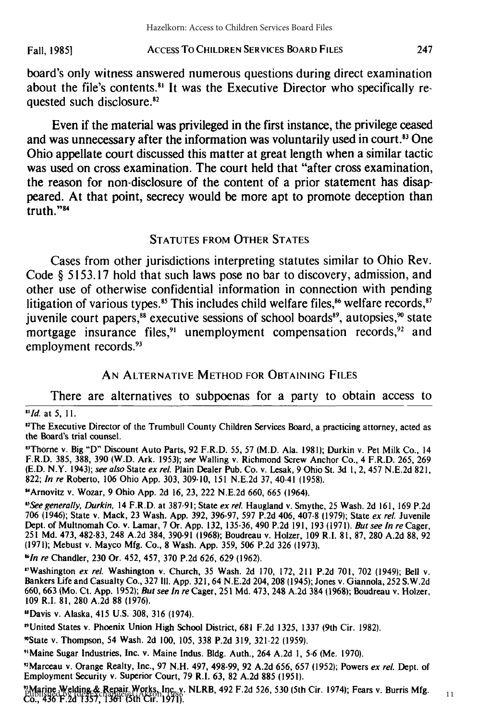#### **ACCESS** To CHILDREN SERVICES BOARD **FILES Fall, 19851**

board's only witness answered numerous questions during direct examination about the file's contents. $81$  It was the Executive Director who specifically requested such disclosure.<sup>82</sup>

Even if the material was privileged in the first instance, the privilege ceased and was unnecessary after the information was voluntarily used in court.<sup>83</sup> One Ohio appellate court discussed this matter at great length when a similar tactic was used on cross examination. The court held that "after cross examination, the reason for non-disclosure of the content of a prior statement has disappeared. At that point, secrecy would be more apt to promote deception than truth."84

#### **STATUTES** FROM OTHER STATES

Cases from other jurisdictions interpreting statutes similar to Ohio Rev. Code **§ 5153.17** hold that such laws pose no bar to discovery, admission, and other use of otherwise confidential information in connection with pending litigation of various types.<sup>85</sup> This includes child welfare files,<sup>86</sup> welfare records, $87$ juvenile court papers, $^{88}$  executive sessions of school boards $^{89}$ , autopsies, $^{90}$  state mortgage insurance files,<sup>91</sup> unemployment compensation records,<sup>92</sup> and employment records.<sup>93</sup>

#### AN ALTERNATIVE METHOD FOR OBTAINING FILES

There are alternatives to subpoenas for a party to obtain access to *"Id.* at 5, 11.

<sup>12</sup>The Executive Director of the Trumbull County Children Services Board, a practicing attorney, acted as the Board's trial counsel.

"Thorne v. Big "D" Discount Auto Parts, 92 F.R.D. 55, 57 (M.D. Ala. 1981); Durkin v. Pet Milk Co., 14 F.R.D. 385, 388, 390 (W.D. Ark. 1953); see Walling v. Richmond Screw Anchor Co., 4 F.R.D. 265, 269 (E.D. N.Y. 1943); see also State ex rel. Plain Dealer Pub. Co. v. Lesak, 9 Ohio St. 3d **1,** 2, 457 N.E.2d 821, 822; In re Roberto, **106** Ohio **App.** 303, 309-10, 151 N.E.2d 37, 40-41 (1958).

"Arnovitz v. Wozar, 9 Ohio **App.** 2d 16, 23, 222 N.E.2d 660, 665 (1964).

<sup>15</sup>See generally, Durkin, 14 F.R.D. at 387-91; State ex rel. Haugland v. Smythe, 25 Wash. 2d 161, 169 P.2d 706 (1946); State v. Mack, 23 Wash. App. 392, 396-97, 597 P.2d 406, 407-8 (1979); State ex rel. Juvenile Dept. of Multnomah Co. v. Lamar, 7 Or. **App.** 132, 135-36, 490 P.2d 191, 193 **(1971).** But see In *re* Cager, 251 Md. 473, 482-83, 248 A.2d 384, 390-91 (1968); Boudreau v. Holzer, 109 R.I. 81, 87, 280 A.2d 88, 92 (1971); Mebust v. Mayco Mfg. Co., 8 Wash. App. 359, 506 P.2d 326 (1973).

<sup>16</sup> In re Chandler, 230 Or. 452, 457, 370 P.2d 626, 629 (1962).

"Washington ex rel. Washington v. Church, 35 Wash. 2d 170, 172, 211 P.2d 701, 702 (1949); Bell v. Bankers Life and Casualty Co., 327 **Ill.** App. 321, 64 N.E.2d 204, 208 (1945); Jones v. Giannola, 252 S.W.2d 660, 663 (Mo. Ct. **App.** 1952); But see In *re* Cager, 251 Md. 473, 248 A.2d 384 (1968); Boudreau v. Holzer, 109 R.I. 81, 280 A.2d 88 (1976).

uDavis v. Alaska, 415 U.S. 308, 316 (1974).

"United States v. Phoenix Union High School District, 681 F.2d 1325, 1337 (9th Cir. 1982).

'State v. Thompson, 54 Wash. 2d 100, **105,** 338 P.2d 319, 321-22 (1959).

"Maine Sugar Industries, Inc. v. Maine Indus. Bldg. Auth., 264 A.2d **1,** 5-6 (Me. 1970).

"Marceau v. Orange Realty, Inc., 97 N.H. 497, 498-99, 92 A.2d 656, 657 (1952); Powers ex rel. Dept. of Employment Security v. Superior Court, 79 R.I. 63, 82 A.2d 885 **(1951).**

"Marine Welding & Repair Works, Inc. v. NLRB, 492 F.2d 526, 530 (5th Cir. 1974); Fears v. Burris Mfg. **Marine Welding & Repair Works, Inc. v**<br>Co., 436 F.2d 1357, 1361 (5th Cir. 1971).

11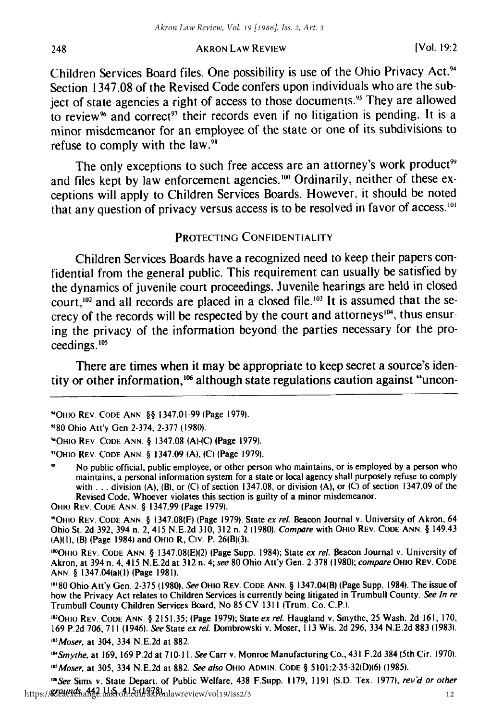Children Services Board files. One possibility is use of the Ohio Privacy Act.<sup>94</sup> Section **1347.08** of the Revised Code confers upon individuals who are the subject of state agencies a right of access to those documents." They are allowed to review<sup>96</sup> and correct<sup>97</sup> their records even if no litigation is pending. It is a minor misdemeanor for an employee of the state or one of its subdivisions to refuse to comply with the law. $98$ 

The only exceptions to such free access are an attorney's work product<sup>99</sup> and files kept by law enforcement agencies.<sup>100</sup> Ordinarily, neither of these exceptions will apply to Children Services Boards. However, it should be noted that any question of privacy versus access is to be resolved in favor of access.<sup>101</sup>

#### PROTECTING **CONFIDENTIALITY**

Children Services Boards have a recognized need to keep their papers confidential from the general public. This requirement can usually be satisfied **by** the dynamics of juvenile court proceedings. Juvenile hearings are held in closed court,<sup>102</sup> and all records are placed in a closed file.<sup>103</sup> It is assumed that the secrecy of the records will be respected **by** the court and attorneys"', thus ensuring the privacy of the information beyond the parties necessary for the proceedings. $105$ 

There are times when it may be appropriate to keep secret a source's identity or other information, $106$  although state regulations caution against "uncon-

OHiO REV. CODE ANN. § 1347.99 (Page 1979).

"OHIO REV. CODE ANN- § 1347.08(F) (Page 1979). State ex rel. Beacon Journal v. University of Akron, 64 Ohio St. 2d 392, 394 n. 2, 415 N.E.2d 310, 312 n. 2 (1980). Compare with OHIO REV. CODE ANN. § 149.43 (A)(1), (B) (Page 1984) and OHIO R, CIv. P. 26(B)(3).

IOOHIO REV. CODE ANN. § 1347.08(E)(2) (Page Supp. 1984); State ex rel. Beacon Journal v. University of Akron, at 394 n. 4, 415 N.E.2d at 312 n. 4; see 80 Ohio Att'y Gen. 2-378 (1980); compare OHIO REV. CODE ANN- § 1347.04(a)(1) (Page **1981).**

**080** Ohio Att'y Gen. 2-375 (1980). See OHIO REV. CODE **ANN.** § 1347.04(B) (Page Supp. 1984). The issue of how the Privacy Act relates to Children Services is currently being litigated in Trumbull County. See In re Trumbull County Children Services Board, No **85** CV 1311 (Trum. Co. C.P.).

102 OHIO REV. CODE ANN. § 2151.35; (Page 1979); State ex rel. Haugland v. Smythe, 25 Wash. 2d 161, 170, 169 P.2d 706, 711 (1946). See State ex rel. Dombrowski v. Moser, **113** Wis. 2d 296, 334 N.E.2d 883 (1983). *" 3* Moser, at 304, 334 **N.E.2d** at **882.**

104 Smythe, at 169, 169 P.2d at 710-11. See Carr v. Monroe Manufacturing Co., 431 F.2d 384 (5th Cir. 1970). *"5* Moser, at 305, 334 N.E.2d at 882. See also OHIO ADMIN. CODE § 5101:2-35-32(D)(6) (1985).

*0'"See* Sims v. State Depart. of Public Welfare, 438 F.Supp. **1** 179, 1191 **(S.D.** Tex. 1977), rev'd or other https://**&Ieuux4hange.uakron!edu/2kPo**nlawreview/vol19/iss2/3 12

248

<sup>&</sup>quot;OHio REV. CODE ANN. §§ 1347.01-99 (Page 1979).

<sup>&</sup>quot;'80 Ohio Att'y Gen 2-374, 2-377 (1980).

<sup>&</sup>quot;OHIO REV. CODE ANN. § 1347.08 **(A)-(C)** (Page 1979).

<sup>&#</sup>x27; 7 OHIO REV. CODE ANN. § 1347.09 **(A), (C)** (Page 1979).

No public official, public employee, or other person who maintains, or is employed **by** a person who maintains, a personal information system for a state or local agency shall purposely refuse to comply with **. . .** division **(A),** (B), or **(C)** of section **1347.08,** or division **(A),** or **(C)** of section **1347,09** of the Revised Code. Whoever violates this section is guilty of a minor misdemeanor.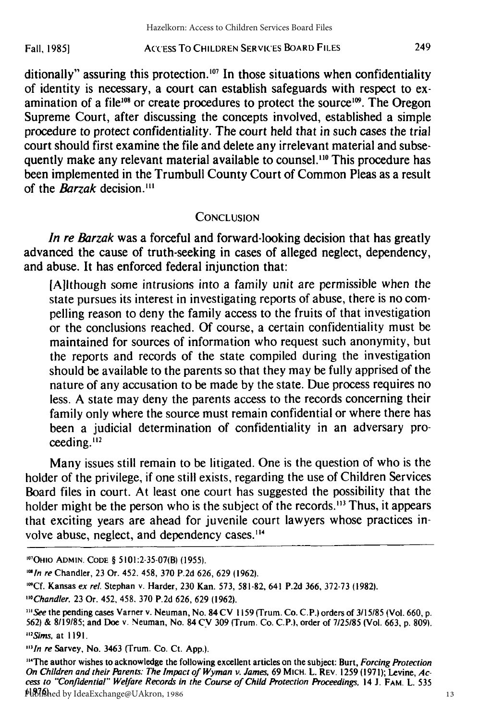#### ACCESS To CHILDREN SERVICES BOARD FILES Fall, **19851**

ditionally" assuring this protection.<sup>107</sup> In those situations when confidentiality of identity is necessary, a court can establish safeguards with respect to examination of a file<sup>108</sup> or create procedures to protect the source<sup>109</sup>. The Oregon Supreme Court, after discussing the concepts involved, established a simple procedure to protect confidentiality. The court held that in such cases the trial court should first examine the file and delete any irrelevant material and subsequently make any relevant material available to counsel."0 This procedure has been implemented in the Trumbull County Court of Common Pleas as a result of the *Barzak* decision.<sup>111</sup>

## **CONCLUSION**

*In re Barzak* was a forceful and forward-looking decision that has greatly advanced the cause of truth-seeking in cases of alleged neglect, dependency, and abuse. It has enforced federal injunction that:

[Alithough some intrusions into a family unit are permissible when the state pursues its interest in investigating reports of abuse, there is no compelling reason to deny the family access to the fruits of that investigation or the conclusions reached. Of course, a certain confidentiality must be maintained for sources of information who request such anonymity, but the reports and records of the state compiled during the investigation should be available to the parents so that they may be fully apprised of the nature of any accusation to be made by the state. Due process requires no less. A state may deny the parents access to the records concerning their family only where the source must remain confidential or where there has been a judicial determination of confidentiality in an adversary proceeding.<sup>112</sup>

Many issues still remain to be litigated. One is the question of who is the holder of the privilege, if one still exists, regarding the use of Children Services Board files in court. At least one court has suggested the possibility that the holder might be the person who is the subject of the records.<sup>113</sup> Thus, it appears that exciting years are ahead for juvenile court lawyers whose practices involve abuse, neglect, and dependency cases."'

<sup>&#</sup>x27; 01 OHIO ADMIN. **CODE** § 5101:2-35-07(B) (1955).

*<sup>&#</sup>x27;"In* **re** Chandler, **23** Or. 452. 458, **370 P.2d 626, 629 (1962).**

**<sup>&</sup>quot;'Cf.** Kansas **ex rel.** Stephan v. Harder, **230** Kan. 573, **581-82,** 641 **P.2d 366, 372-73 (1982).**

*<sup>&</sup>quot;'Chandler* **23** Or. 452, 458. **370 P.2d 626, 629 (1962).**

**<sup>&</sup>quot;'See** the pending cases Varner v. Neuman, No. 84 **CV 1159** (Trum. Co. **C.P.)** orders of **3/15/85** (Vol. **660, p. 562)** & **8/19/85;** and Doe v. Neuman, No. 84 **CV 309** (Trum. Co. **C.P.),** order of **7/25/85** (Vol. **663, p. 809).** ISims, at **1191.**

**<sup>&#</sup>x27;In re** Sarvey, No. 3463 (Trum. Co. Ct. **App.).**

<sup>&</sup>quot;The author wishes to acknowledge the following excellent articles on the subject: Burt, **Forcing** Protection On Children and their Parents." *The Impact of Wyman* v. James, 69 **MICH.** L. REV. 1259 **(1971);** Levine, Access to "Confidential" Welfare Records in the Course of Child Protection Proceedings, 14 **J.** FAM. L. 535 Pl<sup>876</sup>hed by IdeaExchange@UAkron, 1986